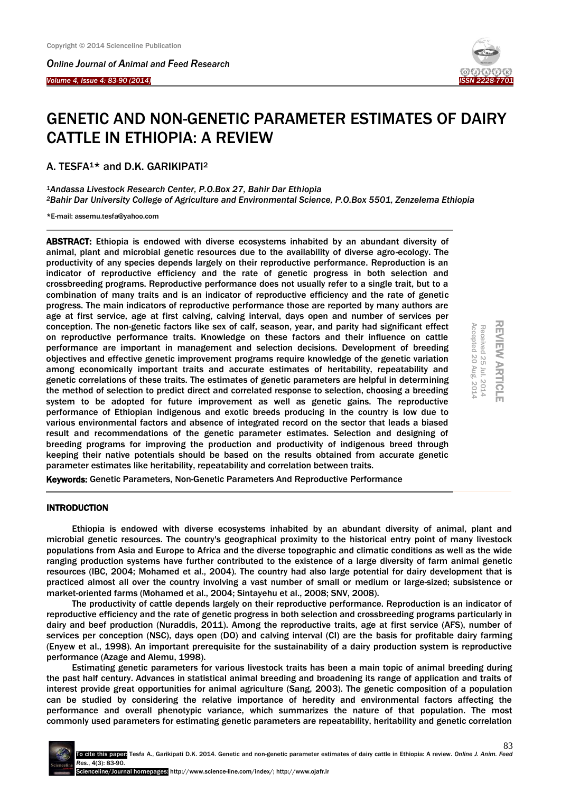*Online Journal of Animal and Feed Research* 

*Volume 4, Issue 4: 83-90 (2014)* 

Ξ



# GENETIC AND NON-GENETIC PARAMETER ESTIMATES OF DAIRY CATTLE IN ETHIOPIA: A REVIEW

A. TESFA1\* and D.K. GARIKIPATI<sup>2</sup>

*<sup>1</sup>Andassa Livestock Research Center, P.O.Box 27, Bahir Dar Ethiopia <sup>2</sup>Bahir Dar University College of Agriculture and Environmental Science, P.O.Box 5501, Zenzelema Ethiopia*

\*E-mail[: assemu.tesfa@yahoo.com](mailto:assemu.tesfa@yahoo.com)

ABSTRACT: Ethiopia is endowed with diverse ecosystems inhabited by an abundant diversity of animal, plant and microbial genetic resources due to the availability of diverse agro-ecology. The productivity of any species depends largely on their reproductive performance. Reproduction is an indicator of reproductive efficiency and the rate of genetic progress in both selection and crossbreeding programs. Reproductive performance does not usually refer to a single trait, but to a combination of many traits and is an indicator of reproductive efficiency and the rate of genetic progress. The main indicators of reproductive performance those are reported by many authors are age at first service, age at first calving, calving interval, days open and number of services per conception. The non-genetic factors like sex of calf, season, year, and parity had significant effect on reproductive performance traits. Knowledge on these factors and their influence on cattle performance are important in management and selection decisions. Development of breeding objectives and effective genetic improvement programs require knowledge of the genetic variation among economically important traits and accurate estimates of heritability, repeatability and genetic correlations of these traits. The estimates of genetic parameters are helpful in determining the method of selection to predict direct and correlated response to selection, choosing a breeding system to be adopted for future improvement as well as genetic gains. The reproductive performance of Ethiopian indigenous and exotic breeds producing in the country is low due to various environmental factors and absence of integrated record on the sector that leads a biased result and recommendations of the genetic parameter estimates. Selection and designing of breeding programs for improving the production and productivity of indigenous breed through keeping their native potentials should be based on the results obtained from accurate genetic parameter estimates like heritability, repeatability and correlation between traits.



Keywords: Genetic Parameters, Non-Genetic Parameters And Reproductive Performance

#### INTRODUCTION

Ethiopia is endowed with diverse ecosystems inhabited by an abundant diversity of animal, plant and microbial genetic resources. The country's geographical proximity to the historical entry point of many livestock populations from Asia and Europe to Africa and the diverse topographic and climatic conditions as well as the wide ranging production systems have further contributed to the existence of a large diversity of farm animal genetic resources (IBC, 2004; Mohamed et al., 2004). The country had also large potential for dairy development that is practiced almost all over the country involving a vast number of small or medium or large-sized; subsistence or market-oriented farms (Mohamed et al., 2004; Sintayehu et al., 2008; SNV, 2008).

The productivity of cattle depends largely on their reproductive performance. Reproduction is an indicator of reproductive efficiency and the rate of genetic progress in both selection and crossbreeding programs particularly in dairy and beef production (Nuraddis, 2011). Among the reproductive traits, age at first service (AFS), number of services per conception (NSC), days open (DO) and calving interval (CI) are the basis for profitable dairy farming (Enyew et al., 1998). An important prerequisite for the sustainability of a dairy production system is reproductive performance (Azage and Alemu, 1998).

Estimating genetic parameters for various livestock traits has been a main topic of animal breeding during the past half century. Advances in statistical animal breeding and broadening its range of application and traits of interest provide great opportunities for animal agriculture (Sang, 2003). The genetic composition of a population can be studied by considering the relative importance of heredity and environmental factors affecting the performance and overall phenotypic variance, which summarizes the nature of that population. The most commonly used parameters for estimating genetic parameters are repeatability, heritability and genetic correlation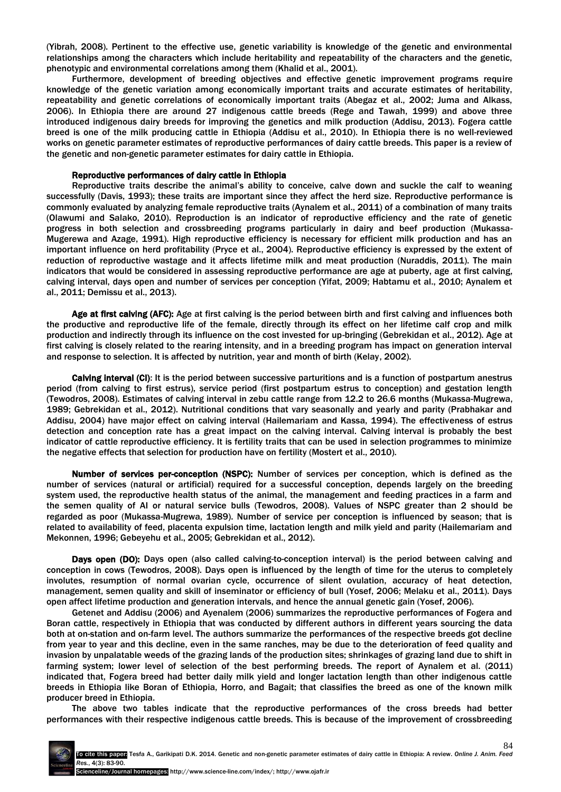(Yibrah, 2008). Pertinent to the effective use, genetic variability is knowledge of the genetic and environmental relationships among the characters which include heritability and repeatability of the characters and the genetic, phenotypic and environmental correlations among them (Khalid et al., 2001).

Furthermore, development of breeding objectives and effective genetic improvement programs require knowledge of the genetic variation among economically important traits and accurate estimates of heritability, repeatability and genetic correlations of economically important traits (Abegaz et al., 2002; Juma and Alkass, 2006). In Ethiopia there are around 27 indigenous cattle breeds (Rege and Tawah, 1999) and above three introduced indigenous dairy breeds for improving the genetics and milk production (Addisu, 2013). Fogera cattle breed is one of the milk producing cattle in Ethiopia (Addisu et al., 2010). In Ethiopia there is no well-reviewed works on genetic parameter estimates of reproductive performances of dairy cattle breeds. This paper is a review of the genetic and non-genetic parameter estimates for dairy cattle in Ethiopia.

#### Reproductive performances of dairy cattle in Ethiopia

Reproductive traits describe the animal's ability to conceive, calve down and suckle the calf to weaning successfully (Davis, 1993); these traits are important since they affect the herd size. Reproductive performance is commonly evaluated by analyzing female reproductive traits (Aynalem et al., 2011) of a combination of many traits (Olawumi and Salako, 2010). Reproduction is an indicator of reproductive efficiency and the rate of genetic progress in both selection and crossbreeding programs particularly in dairy and beef production (Mukassa-Mugerewa and Azage, 1991). High reproductive efficiency is necessary for efficient milk production and has an important influence on herd profitability (Pryce et al., 2004). Reproductive efficiency is expressed by the extent of reduction of reproductive wastage and it affects lifetime milk and meat production (Nuraddis, 2011). The main indicators that would be considered in assessing reproductive performance are age at puberty, age at first calving, calving interval, days open and number of services per conception (Yifat, 2009; Habtamu et al., 2010; Aynalem et al., 2011; Demissu et al., 2013).

Age at first calving (AFC): Age at first calving is the period between birth and first calving and influences both the productive and reproductive life of the female, directly through its effect on her lifetime calf crop and milk production and indirectly through its influence on the cost invested for up-bringing (Gebrekidan et al., 2012). Age at first calving is closely related to the rearing intensity, and in a breeding program has impact on generation interval and response to selection. It is affected by nutrition, year and month of birth (Kelay, 2002).

Calving interval (CI): It is the period between successive parturitions and is a function of postpartum anestrus period (from calving to first estrus), service period (first postpartum estrus to conception) and gestation length (Tewodros, 2008). Estimates of calving interval in zebu cattle range from 12.2 to 26.6 months (Mukassa-Mugrewa, 1989; Gebrekidan et al., 2012). Nutritional conditions that vary seasonally and yearly and parity (Prabhakar and Addisu, 2004) have major effect on calving interval (Hailemariam and Kassa, 1994). The effectiveness of estrus detection and conception rate has a great impact on the calving interval. Calving interval is probably the best indicator of cattle reproductive efficiency. It is fertility traits that can be used in selection programmes to minimize the negative effects that selection for production have on fertility (Mostert et al., 2010).

Number of services per-conception (NSPC): Number of services per conception, which is defined as the number of services (natural or artificial) required for a successful conception, depends largely on the breeding system used, the reproductive health status of the animal, the management and feeding practices in a farm and the semen quality of AI or natural service bulls (Tewodros, 2008). Values of NSPC greater than 2 should be regarded as poor (Mukassa-Mugrewa, 1989). Number of service per conception is influenced by season; that is related to availability of feed, placenta expulsion time, lactation length and milk yield and parity (Hailemariam and Mekonnen, 1996; Gebeyehu et al., 2005; Gebrekidan et al., 2012).

Days open (DO): Days open (also called calving-to-conception interval) is the period between calving and conception in cows (Tewodros, 2008). Days open is influenced by the length of time for the uterus to completely involutes, resumption of normal ovarian cycle, occurrence of silent ovulation, accuracy of heat detection, management, semen quality and skill of inseminator or efficiency of bull (Yosef, 2006; Melaku et al., 2011). Days open affect lifetime production and generation intervals, and hence the annual genetic gain (Yosef, 2006).

Getenet and Addisu (2006) and Ayenalem (2006) summarizes the reproductive performances of Fogera and Boran cattle, respectively in Ethiopia that was conducted by different authors in different years sourcing the data both at on-station and on-farm level. The authors summarize the performances of the respective breeds got decline from year to year and this decline, even in the same ranches, may be due to the deterioration of feed quality and invasion by unpalatable weeds of the grazing lands of the production sites; shrinkages of grazing land due to shift in farming system; lower level of selection of the best performing breeds. The report of Aynalem et al. (2011) indicated that, Fogera breed had better daily milk yield and longer lactation length than other indigenous cattle breeds in Ethiopia like Boran of Ethiopia, Horro, and Bagait; that classifies the breed as one of the known milk producer breed in Ethiopia.

The above two tables indicate that the reproductive performances of the cross breeds had better performances with their respective indigenous cattle breeds. This is because of the improvement of crossbreeding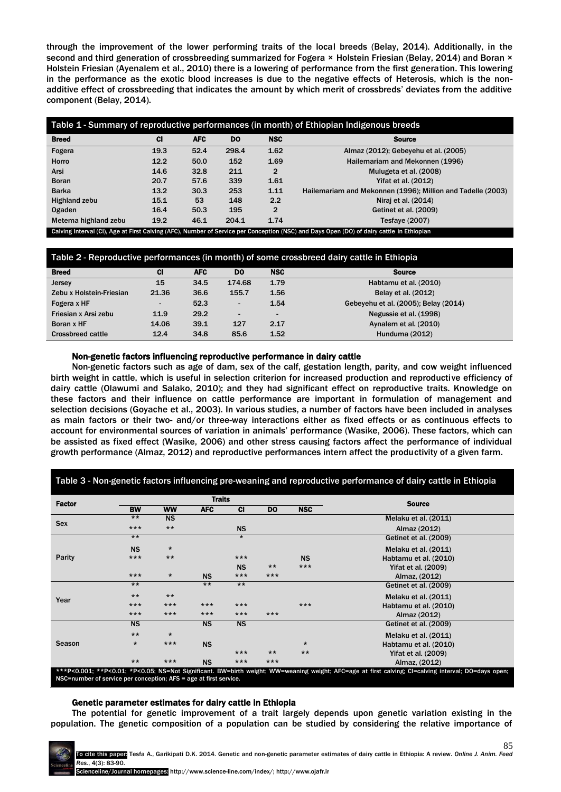through the improvement of the lower performing traits of the local breeds (Belay, 2014). Additionally, in the second and third generation of crossbreeding summarized for Fogera × Holstein Friesian (Belay, 2014) and Boran × Holstein Friesian (Ayenalem et al., 2010) there is a lowering of performance from the first generation. This lowering in the performance as the exotic blood increases is due to the negative effects of Heterosis, which is the nonadditive effect of crossbreeding that indicates the amount by which merit of crossbreds' deviates from the additive component (Belay, 2014).

| Table 1 - Summary of reproductive performances (in month) of Ethiopian Indigenous breeds |           |            |           |              |                                                                                                                                           |
|------------------------------------------------------------------------------------------|-----------|------------|-----------|--------------|-------------------------------------------------------------------------------------------------------------------------------------------|
| <b>Breed</b>                                                                             | <b>CI</b> | <b>AFC</b> | <b>DO</b> | <b>NSC</b>   | <b>Source</b>                                                                                                                             |
| Fogera                                                                                   | 19.3      | 52.4       | 298.4     | 1.62         | Almaz (2012); Gebeyehu et al. (2005)                                                                                                      |
| Horro                                                                                    | 12.2      | 50.0       | 152       | 1.69         | Hailemariam and Mekonnen (1996)                                                                                                           |
| Arsi                                                                                     | 14.6      | 32.8       | 211       | $\mathbf{2}$ | Mulugeta et al. (2008)                                                                                                                    |
| <b>Boran</b>                                                                             | 20.7      | 57.6       | 339       | 1.61         | Yifat et al. (2012)                                                                                                                       |
| <b>Barka</b>                                                                             | 13.2      | 30.3       | 253       | 1.11         | Hailemariam and Mekonnen (1996); Million and Tadelle (2003)                                                                               |
| Highland zebu                                                                            | 15.1      | 53         | 148       | 2.2          | Niraj et al. (2014)                                                                                                                       |
| <b>Ogaden</b>                                                                            | 16.4      | 50.3       | 195       | $\mathbf{2}$ | Getinet et al. (2009)                                                                                                                     |
| Metema highland zebu                                                                     | 19.2      | 46.1       | 204.1     | 1.74         | Tesfaye $(2007)$                                                                                                                          |
|                                                                                          |           |            |           |              | Calving Interval (CI), Age at First Calving (AFC), Number of Service per Conception (NSC) and Days Open (DO) of dairy cattle in Ethiopian |

# Table 2 - Reproductive performances (in month) of some crossbreed dairy cattle in Ethiopia

| <b>Breed</b>             | <b>CI</b> | <b>AFC</b> | <b>DO</b>                | <b>NSC</b>               | <b>Source</b>                        |
|--------------------------|-----------|------------|--------------------------|--------------------------|--------------------------------------|
| Jersey                   | 15        | 34.5       | 174.68                   | 1.79                     | Habtamu et al. (2010)                |
| Zebu x Holstein-Friesian | 21.36     | 36.6       | 155.7                    | 1.56                     | Belay et al. (2012)                  |
| Fogera x HF              |           | 52.3       | $\sim$                   | 1.54                     | Gebeyehu et al. (2005); Belay (2014) |
| Friesian x Arsi zebu     | 11.9      | 29.2       | $\overline{\phantom{0}}$ | $\overline{\phantom{0}}$ | Negussie et al. (1998)               |
| Boran x HF               | 14.06     | 39.1       | 127                      | 2.17                     | Aynalem et al. (2010)                |
| <b>Crossbreed cattle</b> | 12.4      | 34.8       | 85.6                     | 1.52                     | Hunduma (2012)                       |

#### Non-genetic factors influencing reproductive performance in dairy cattle

Non-genetic factors such as age of dam, sex of the calf, gestation length, parity, and cow weight influenced birth weight in cattle, which is useful in selection criterion for increased production and reproductive efficiency of dairy cattle (Olawumi and Salako, 2010); and they had significant effect on reproductive traits. Knowledge on these factors and their influence on cattle performance are important in formulation of management and selection decisions (Goyache et al., 2003). In various studies, a number of factors have been included in analyses as main factors or their two- and/or three-way interactions either as fixed effects or as continuous effects to account for environmental sources of variation in animals' performance (Wasike, 2006). These factors, which can be assisted as fixed effect (Wasike, 2006) and other stress causing factors affect the performance of individual growth performance (Almaz, 2012) and reproductive performances intern affect the productivity of a given farm.

| <b>Factor</b> |           |           | <b>Traits</b> |           |       | <b>Source</b> |                       |
|---------------|-----------|-----------|---------------|-----------|-------|---------------|-----------------------|
|               | <b>BW</b> | <b>WW</b> | <b>AFC</b>    | <b>CI</b> | DO.   | <b>NSC</b>    |                       |
| <b>Sex</b>    | $***$     | <b>NS</b> |               |           |       |               | Melaku et al. (2011)  |
|               | $***$     | $***$     |               | <b>NS</b> |       |               | Almaz (2012)          |
|               | $***$     |           |               | $\star$   |       |               | Getinet et al. (2009) |
| Parity        | <b>NS</b> | $\star$   |               |           |       |               | Melaku et al. (2011)  |
|               | $***$     | $***$     |               | $***$     |       | <b>NS</b>     | Habtamu et al. (2010) |
|               |           |           |               | <b>NS</b> | $***$ | $***$         | Yifat et al. (2009)   |
|               | $***$     | $\star$   | <b>NS</b>     | $***$     | $***$ |               | Almaz, (2012)         |
| Year          | $***$     |           | $***$         | $***$     |       |               | Getinet et al. (2009) |
|               | $***$     | $***$     |               |           |       |               | Melaku et al. (2011)  |
|               | $***$     | $***$     | $***$         | $***$     |       | $***$         | Habtamu et al. (2010) |
|               | $***$     | $***$     | $***$         | $***$     | $***$ |               | Almaz (2012)          |
| Season        | <b>NS</b> |           | <b>NS</b>     | <b>NS</b> |       |               | Getinet et al. (2009) |
|               | $***$     | $\star$   |               |           |       |               | Melaku et al. (2011)  |
|               | $\star$   | $***$     | <b>NS</b>     |           |       | $\star$       | Habtamu et al. (2010) |
|               |           |           |               | $***$     | $***$ | $***$         | Yifat et al. (2009)   |
|               | $***$     | $***$     | <b>NS</b>     | $***$     | $***$ |               | Almaz, (2012)         |

#### Genetic parameter estimates for dairy cattle in Ethiopia

The potential for genetic improvement of a trait largely depends upon genetic variation existing in the population. The genetic composition of a population can be studied by considering the relative importance of

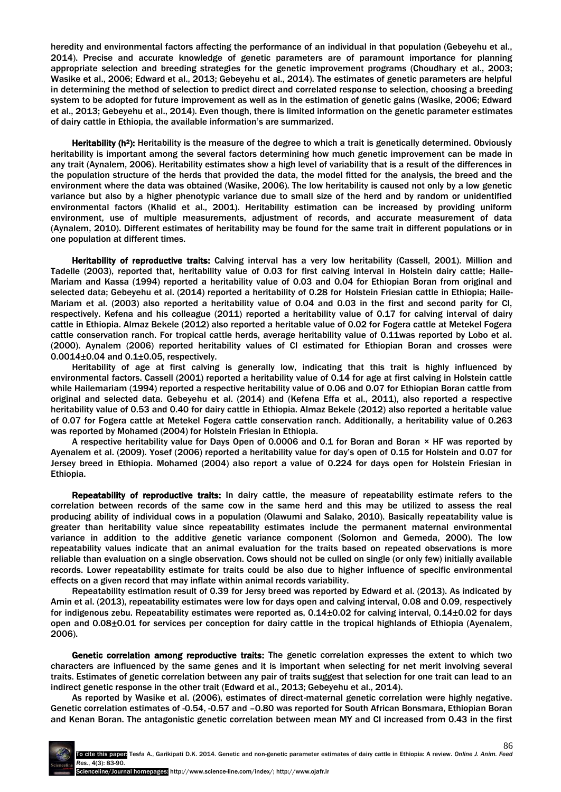heredity and environmental factors affecting the performance of an individual in that population (Gebeyehu et al., 2014). Precise and accurate knowledge of genetic parameters are of paramount importance for planning appropriate selection and breeding strategies for the genetic improvement programs (Choudhary et al., 2003; Wasike et al., 2006; Edward et al., 2013; Gebeyehu et al., 2014). The estimates of genetic parameters are helpful in determining the method of selection to predict direct and correlated response to selection, choosing a breeding system to be adopted for future improvement as well as in the estimation of genetic gains (Wasike, 2006; Edward et al., 2013; Gebeyehu et al., 2014). Even though, there is limited information on the genetic parameter estimates of dairy cattle in Ethiopia, the available information's are summarized.

Heritability (h<sup>2</sup>): Heritability is the measure of the degree to which a trait is genetically determined. Obviously heritability is important among the several factors determining how much genetic improvement can be made in any trait (Aynalem, 2006). Heritability estimates show a high level of variability that is a result of the differences in the population structure of the herds that provided the data, the model fitted for the analysis, the breed and the environment where the data was obtained (Wasike, 2006). The low heritability is caused not only by a low genetic variance but also by a higher phenotypic variance due to small size of the herd and by random or unidentified environmental factors (Khalid et al., 2001). Heritability estimation can be increased by providing uniform environment, use of multiple measurements, adjustment of records, and accurate measurement of data (Aynalem, 2010). Different estimates of heritability may be found for the same trait in different populations or in one population at different times.

Heritability of reproductive traits: Calving interval has a very low heritability (Cassell, 2001). Million and Tadelle (2003), reported that, heritability value of 0.03 for first calving interval in Holstein dairy cattle; Haile-Mariam and Kassa (1994) reported a heritability value of 0.03 and 0.04 for Ethiopian Boran from original and selected data; Gebeyehu et al. (2014) reported a heritability of 0.28 for Holstein Friesian cattle in Ethiopia; Haile-Mariam et al. (2003) also reported a heritability value of 0.04 and 0.03 in the first and second parity for CI, respectively. Kefena and his colleague (2011) reported a heritability value of 0.17 for calving interval of dairy cattle in Ethiopia. Almaz Bekele (2012) also reported a heritable value of 0.02 for Fogera cattle at Metekel Fogera cattle conservation ranch. For tropical cattle herds, average heritability value of 0.11was reported by Lobo et al. (2000). Aynalem (2006) reported heritability values of CI estimated for Ethiopian Boran and crosses were 0.0014±0.04 and 0.1±0.05, respectively.

Heritability of age at first calving is generally low, indicating that this trait is highly influenced by environmental factors. Cassell (2001) reported a heritability value of 0.14 for age at first calving in Holstein cattle while Hailemariam (1994) reported a respective heritability value of 0.06 and 0.07 for Ethiopian Boran cattle from original and selected data. Gebeyehu et al. (2014) and (Kefena Effa et al., 2011), also reported a respective heritability value of 0.53 and 0.40 for dairy cattle in Ethiopia. Almaz Bekele (2012) also reported a heritable value of 0.07 for Fogera cattle at Metekel Fogera cattle conservation ranch. Additionally, a heritability value of 0.263 was reported by Mohamed (2004) for Holstein Friesian in Ethiopia.

A respective heritability value for Days Open of 0.0006 and 0.1 for Boran and Boran × HF was reported by Ayenalem et al. (2009). Yosef (2006) reported a heritability value for day's open of 0.15 for Holstein and 0.07 for Jersey breed in Ethiopia. Mohamed (2004) also report a value of 0.224 for days open for Holstein Friesian in Ethiopia.

Repeatability of reproductive traits: In dairy cattle, the measure of repeatability estimate refers to the correlation between records of the same cow in the same herd and this may be utilized to assess the real producing ability of individual cows in a population (Olawumi and Salako, 2010). Basically repeatability value is greater than heritability value since repeatability estimates include the permanent maternal environmental variance in addition to the additive genetic variance component (Solomon and Gemeda, 2000). The low repeatability values indicate that an animal evaluation for the traits based on repeated observations is more reliable than evaluation on a single observation. Cows should not be culled on single (or only few) initially available records. Lower repeatability estimate for traits could be also due to higher influence of specific environmental effects on a given record that may inflate within animal records variability.

Repeatability estimation result of 0.39 for Jersy breed was reported by Edward et al. (2013). As indicated by Amin et al. (2013), repeatability estimates were low for days open and calving interval, 0.08 and 0.09, respectively for indigenous zebu. Repeatability estimates were reported as, 0.14±0.02 for calving interval, 0.14±0.02 for days open and 0.08±0.01 for services per conception for dairy cattle in the tropical highlands of Ethiopia (Ayenalem, 2006).

Genetic correlation among reproductive traits: The genetic correlation expresses the extent to which two characters are influenced by the same genes and it is important when selecting for net merit involving several traits. Estimates of genetic correlation between any pair of traits suggest that selection for one trait can lead to an indirect genetic response in the other trait (Edward et al., 2013; Gebeyehu et al., 2014).

As reported by Wasike et al. (2006), estimates of direct-maternal genetic correlation were highly negative. Genetic correlation estimates of -0.54, -0.57 and –0.80 was reported for South African Bonsmara, Ethiopian Boran and Kenan Boran. The antagonistic genetic correlation between mean MY and CI increased from 0.43 in the first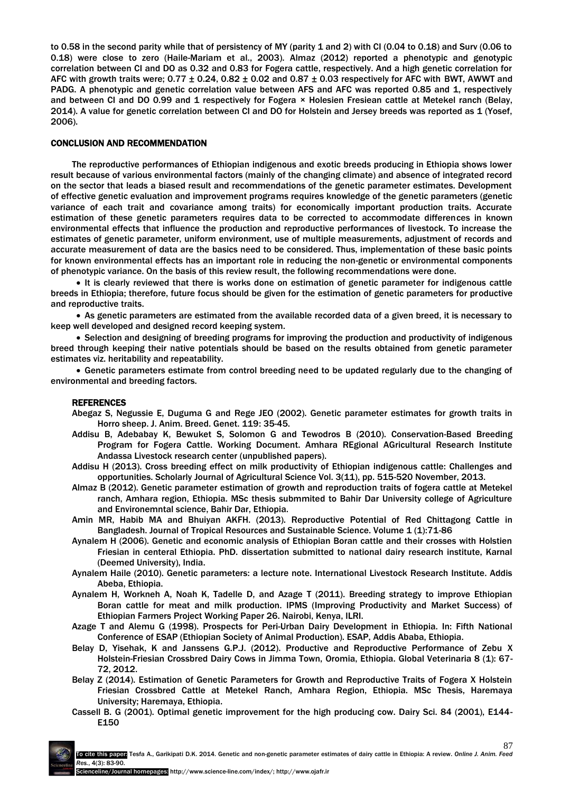to 0.58 in the second parity while that of persistency of MY (parity 1 and 2) with CI (0.04 to 0.18) and Surv (0.06 to 0.18) were close to zero (Haile-Mariam et al., 2003). Almaz (2012) reported a phenotypic and genotypic correlation between CI and DO as 0.32 and 0.83 for Fogera cattle, respectively. And a high genetic correlation for AFC with growth traits were;  $0.77 \pm 0.24$ ,  $0.82 \pm 0.02$  and  $0.87 \pm 0.03$  respectively for AFC with BWT. AWWT and PADG. A phenotypic and genetic correlation value between AFS and AFC was reported 0.85 and 1, respectively and between CI and DO 0.99 and 1 respectively for Fogera × Holesien Fresiean cattle at Metekel ranch (Belay, 2014). A value for genetic correlation between CI and DO for Holstein and Jersey breeds was reported as 1 (Yosef, 2006).

## CONCLUSION AND RECOMMENDATION

The reproductive performances of Ethiopian indigenous and exotic breeds producing in Ethiopia shows lower result because of various environmental factors (mainly of the changing climate) and absence of integrated record on the sector that leads a biased result and recommendations of the genetic parameter estimates. Development of effective genetic evaluation and improvement programs requires knowledge of the genetic parameters (genetic variance of each trait and covariance among traits) for economically important production traits. Accurate estimation of these genetic parameters requires data to be corrected to accommodate differences in known environmental effects that influence the production and reproductive performances of livestock. To increase the estimates of genetic parameter, uniform environment, use of multiple measurements, adjustment of records and accurate measurement of data are the basics need to be considered. Thus, implementation of these basic points for known environmental effects has an important role in reducing the non-genetic or environmental components of phenotypic variance. On the basis of this review result, the following recommendations were done.

• It is clearly reviewed that there is works done on estimation of genetic parameter for indigenous cattle breeds in Ethiopia; therefore, future focus should be given for the estimation of genetic parameters for productive and reproductive traits.

 As genetic parameters are estimated from the available recorded data of a given breed, it is necessary to keep well developed and designed record keeping system.

 Selection and designing of breeding programs for improving the production and productivity of indigenous breed through keeping their native potentials should be based on the results obtained from genetic parameter estimates viz. heritability and repeatability.

 Genetic parameters estimate from control breeding need to be updated regularly due to the changing of environmental and breeding factors.

## **REFERENCES**

- Abegaz S, Negussie E, Duguma G and Rege JEO (2002). Genetic parameter estimates for growth traits in Horro sheep. J. Anim. Breed. Genet. 119: 35-45.
- Addisu B, Adebabay K, Bewuket S, Solomon G and Tewodros B (2010). Conservation-Based Breeding Program for Fogera Cattle. Working Document. Amhara REgional AGricultural Research Institute Andassa Livestock research center (unpublished papers).
- Addisu H (2013). Cross breeding effect on milk productivity of Ethiopian indigenous cattle: Challenges and opportunities. Scholarly Journal of Agricultural Science Vol. 3(11), pp. 515-520 November, 2013.
- Almaz B (2012). Genetic parameter estimation of growth and reproduction traits of fogera cattle at Metekel ranch, Amhara region, Ethiopia. MSc thesis submmited to Bahir Dar University college of Agriculture and Environemntal science, Bahir Dar, Ethiopia.
- Amin MR, Habib MA and Bhuiyan AKFH. (2013). Reproductive Potential of Red Chittagong Cattle in Bangladesh. Journal of Tropical Resources and Sustainable Science. Volume 1 (1):71-86
- Aynalem H (2006). Genetic and economic analysis of Ethiopian Boran cattle and their crosses with Holstien Friesian in centeral Ethiopia. PhD. dissertation submitted to national dairy research institute, Karnal (Deemed University), India.
- Aynalem Haile (2010). Genetic parameters: a lecture note. International Livestock Research Institute. Addis Abeba, Ethiopia.
- Aynalem H, Workneh A, Noah K, Tadelle D, and Azage T (2011). Breeding strategy to improve Ethiopian Boran cattle for meat and milk production. IPMS (Improving Productivity and Market Success) of Ethiopian Farmers Project Working Paper 26. Nairobi, Kenya, ILRI.
- Azage T and Alemu G (1998). Prospects for Peri-Urban Dairy Development in Ethiopia. In: Fifth National Conference of ESAP (Ethiopian Society of Animal Production). ESAP, Addis Ababa, Ethiopia.
- Belay D, Yisehak, K and Janssens G.P.J. (2012). Productive and Reproductive Performance of Zebu X Holstein-Friesian Crossbred Dairy Cows in Jimma Town, Oromia, Ethiopia. Global Veterinaria 8 (1): 67- 72, 2012.
- Belay Z (2014). Estimation of Genetic Parameters for Growth and Reproductive Traits of Fogera X Holstein Friesian Crossbred Cattle at Metekel Ranch, Amhara Region, Ethiopia. MSc Thesis, Haremaya University; Haremaya, Ethiopia.
- Cassell B. G (2001). Optimal genetic improvement for the high producing cow. Dairy Sci. 84 (2001), E144- E150

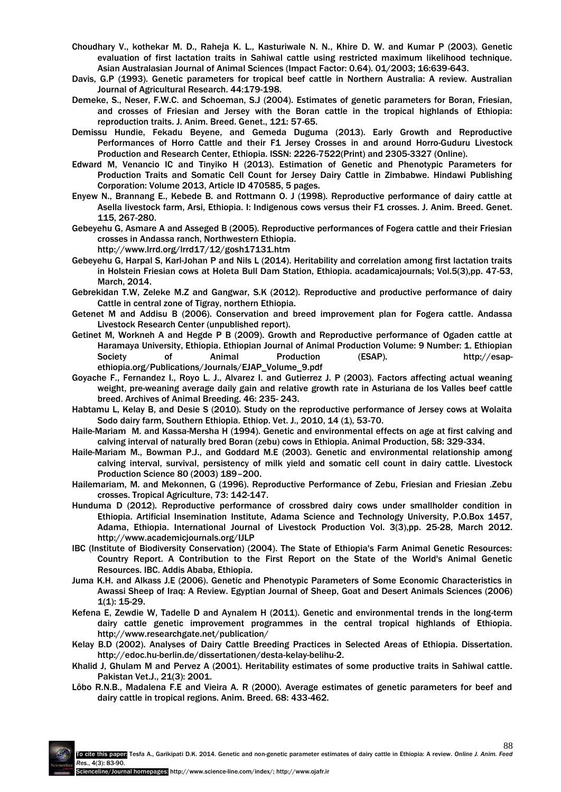- Choudhary V., kothekar M. D., Raheja K. L., Kasturiwale N. N., Khire D. W. and Kumar P (2003). Genetic evaluation of first lactation traits in Sahiwal cattle using restricted maximum likelihood technique. Asian Australasian Journal of Animal Sciences (Impact Factor: 0.64). 01/2003; 16:639-643.
- Davis, G.P (1993). Genetic parameters for tropical beef cattle in Northern Australia: A review. Australian Journal of Agricultural Research. 44:179-198.
- Demeke, S., Neser, F.W.C. and Schoeman, S.J (2004). Estimates of genetic parameters for Boran, Friesian, and crosses of Friesian and Jersey with the Boran cattle in the tropical highlands of Ethiopia: reproduction traits. J. Anim. Breed. Genet., 121: 57-65.
- Demissu Hundie, Fekadu Beyene, and Gemeda Duguma (2013). Early Growth and Reproductive Performances of Horro Cattle and their F1 Jersey Crosses in and around Horro-Guduru Livestock Production and Research Center, Ethiopia. ISSN: 2226-7522(Print) and 2305-3327 (Online).
- Edward M, Venancio IC and Tinyiko H (2013). Estimation of Genetic and Phenotypic Parameters for Production Traits and Somatic Cell Count for Jersey Dairy Cattle in Zimbabwe. Hindawi Publishing Corporation: Volume 2013, Article ID 470585, 5 pages.
- Enyew N., Brannang E., Kebede B. and Rottmann O. J (1998). Reproductive performance of dairy cattle at Asella livestock farm, Arsi, Ethiopia. I: Indigenous cows versus their F1 crosses. J. Anim. Breed. Genet. 115, 267-280.
- Gebeyehu G, Asmare A and Asseged B (2005). Reproductive performances of Fogera cattle and their Friesian crosses in Andassa ranch, Northwestern Ethiopia.
	- <http://www.lrrd.org/lrrd17/12/gosh17131.htm>
- Gebeyehu G, Harpal S, Karl-Johan P and Nils L (2014). Heritability and correlation among first lactation traits in Holstein Friesian cows at Holeta Bull Dam Station, Ethiopia. acadamicajournals; Vol.5(3),pp. 47-53, March, 2014.
- Gebrekidan T.W, Zeleke M.Z and Gangwar, S.K (2012). Reproductive and productive performance of dairy Cattle in central zone of Tigray, northern Ethiopia.
- Getenet M and Addisu B (2006). Conservation and breed improvement plan for Fogera cattle. Andassa Livestock Research Center (unpublished report).
- Getinet M, Workneh A and Hegde P B (2009). Growth and Reproductive performance of Ogaden cattle at Haramaya University, Ethiopia. Ethiopian Journal of Animal Production Volume: 9 Number: 1. Ethiopian Society of Animal Production (ESAP). [http://esap](http://esap-ethiopia.org/Publications/Journals/EJAP_Volume_9.pdf)[ethiopia.org/Publications/Journals/EJAP\\_Volume\\_9.pdf](http://esap-ethiopia.org/Publications/Journals/EJAP_Volume_9.pdf)
- Goyache F., Fernandez I., Royo L. J., Alvarez I. and Gutierrez J. P (2003). Factors affecting actual weaning weight, pre-weaning average daily gain and relative growth rate in Asturiana de los Valles beef cattle breed. Archives of Animal Breeding. 46: 235- 243.
- Habtamu L, Kelay B, and Desie S (2010). Study on the reproductive performance of Jersey cows at Wolaita Sodo dairy farm, Southern Ethiopia. Ethiop. Vet. J., 2010, 14 (1), 53-70.
- Haile-Mariam M. and Kassa-Mersha H (1994). Genetic and environmental effects on age at first calving and calving interval of naturally bred Boran (zebu) cows in Ethiopia. Animal Production, 58: 329-334.
- Haile-Mariam M., Bowman P.J., and Goddard M.E (2003). Genetic and environmental relationship among calving interval, survival, persistency of milk yield and somatic cell count in dairy cattle. Livestock Production Science 80 (2003) 189–200.
- Hailemariam, M. and Mekonnen, G (1996). Reproductive Performance of Zebu, Friesian and Friesian .Zebu crosses. Tropical Agriculture, 73: 142-147.
- Hunduma D (2012). Reproductive performance of crossbred dairy cows under smallholder condition in Ethiopia. Artificial Insemination Institute, Adama Science and Technology University, P.O.Box 1457, Adama, Ethiopia. International Journal of Livestock Production Vol. 3(3),pp. 25-28, March 2012. <http://www.academicjournals.org/IJLP>
- IBC (Institute of Biodiversity Conservation) (2004). The State of Ethiopia's Farm Animal Genetic Resources: Country Report. A Contribution to the First Report on the State of the World's Animal Genetic Resources. IBC. Addis Ababa, Ethiopia.
- Juma K.H. and Alkass J.E (2006). Genetic and Phenotypic Parameters of Some Economic Characteristics in Awassi Sheep of Iraq: A Review. Egyptian Journal of Sheep, Goat and Desert Animals Sciences (2006) 1(1): 15-29.
- [Kefena E,](http://www.researchgate.net/researcher/2037372274_Kefena_Effa) [Zewdie W,](http://www.researchgate.net/researcher/2047135445_Zewdie_Wondatir) [Tadelle D](http://www.researchgate.net/researcher/81899611_Tadelle_Dessie) and [Aynalem H](http://www.researchgate.net/researcher/81136346_Aynalem_Haile) (2011). Genetic and environmental trends in the long-term dairy cattle genetic improvement programmes in the central tropical highlands of Ethiopia. http://www.researchgate.net/publication/
- Kelay B.D (2002). Analyses of Dairy Cattle Breeding Practices in Selected Areas of Ethiopia. Dissertation. [http://edoc.hu-berlin.de/dissertationen/desta-kelay-belihu-2.](http://edoc.hu-berlin.de/dissertationen/desta-kelay-belihu-2)
- Khalid J, Ghulam M and Pervez A (2001). Heritability estimates of some productive traits in Sahiwal cattle. Pakistan Vet.J., 21(3): 2001.
- Lôbo R.N.B., Madalena F.E and Vieira A. R (2000). Average estimates of genetic parameters for beef and dairy cattle in tropical regions. Anim. Breed. 68: 433-462.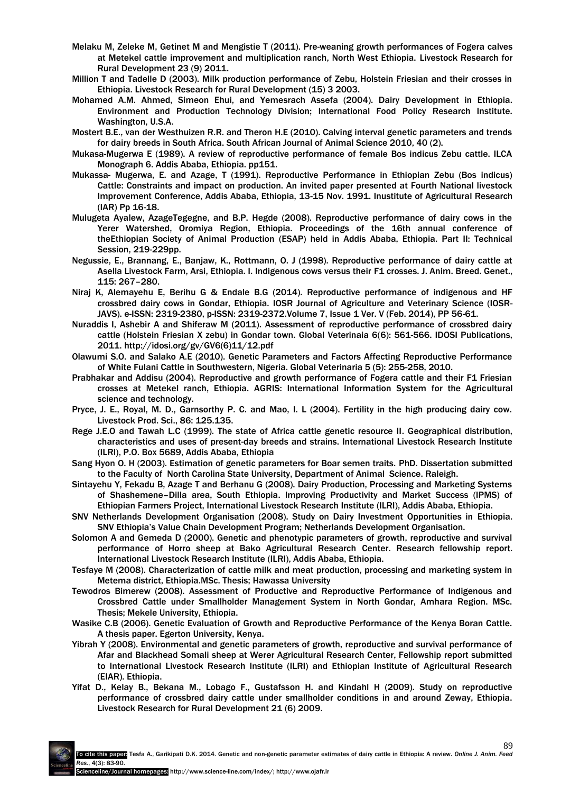- Melaku M, Zeleke M, Getinet M and Mengistie T (2011). Pre-weaning growth performances of Fogera calves at Metekel cattle improvement and multiplication ranch, North West Ethiopia. [Livestock Research for](http://www.lrrd.org/lrrd23/9/cont2309.htm)  [Rural Development 23 \(9\) 2011.](http://www.lrrd.org/lrrd23/9/cont2309.htm)
- Million T and Tadelle D (2003). Milk production performance of Zebu, Holstein Friesian and their crosses in Ethiopia. Livestock Research for Rural Development (15) 3 2003.
- Mohamed A.M. Ahmed, Simeon Ehui, and Yemesrach Assefa (2004). Dairy Development in Ethiopia. Environment and Production Technology Division; International Food Policy Research Institute. Washington, U.S.A.
- Mostert B.E., van der Westhuizen R.R. and Theron H.E (2010). Calving interval genetic parameters and trends for dairy breeds in South Africa. South African Journal of Animal Science 2010, 40 (2).
- Mukasa-Mugerwa E (1989). A review of reproductive performance of female Bos indicus Zebu cattle. ILCA Monograph 6. Addis Ababa, Ethiopia. pp151.
- Mukassa- Mugerwa, E. and Azage, T (1991). Reproductive Performance in Ethiopian Zebu (Bos indicus) Cattle: Constraints and impact on production. An invited paper presented at Fourth National livestock Improvement Conference, Addis Ababa, Ethiopia, 13-15 Nov. 1991. Inustitute of Agricultural Research (IAR) Pp 16-18.
- Mulugeta Ayalew, AzageTegegne, and B.P. Hegde (2008). Reproductive performance of dairy cows in the Yerer Watershed, Oromiya Region, Ethiopia. Proceedings of the 16th annual conference of theEthiopian Society of Animal Production (ESAP) held in Addis Ababa, Ethiopia. Part II: Technical Session, 219-229pp.
- Negussie, E., Brannang, E., Banjaw, K., Rottmann, O. J (1998). Reproductive performance of dairy cattle at Asella Livestock Farm, Arsi, Ethiopia. I. Indigenous cows versus their F1 crosses. J. Anim. Breed. Genet., 115: 267–280.
- Niraj K, Alemayehu E, Berihu G & Endale B.G (2014). Reproductive performance of indigenous and HF crossbred dairy cows in Gondar, Ethiopia. IOSR Journal of Agriculture and Veterinary Science (IOSR-JAVS). e-ISSN: 2319-2380, p-ISSN: 2319-2372.Volume 7, Issue 1 Ver. V (Feb. 2014), PP 56-61.
- Nuraddis I, Ashebir A and Shiferaw M (2011). Assessment of reproductive performance of crossbred dairy cattle (Holstein Friesian X zebu) in Gondar town. Global Veterinaia 6(6): 561-566. IDOSI Publications, 2011. [http://idosi.org/gv/GV6\(6\)11/12.pdf](http://idosi.org/gv/GV6(6)11/12.pdf)
- Olawumi S.O. and Salako A.E (2010). Genetic Parameters and Factors Affecting Reproductive Performance of White Fulani Cattle in Southwestern, Nigeria. Global Veterinaria 5 (5): 255-258, 2010.
- Prabhakar and Addisu (2004). Reproductive and growth performance of Fogera cattle and their F1 Friesian crosses at Metekel ranch, Ethiopia. AGRIS: International Information System for the Agricultural science and technology.
- Pryce, J. E., Royal, M. D., Garnsorthy P. C. and Mao, I. L (2004). Fertility in the high producing dairy cow. Livestock Prod. Sci., 86: 125.135.
- Rege J.E.O and Tawah L.C (1999). The state of Africa cattle genetic resource II. Geographical distribution, characteristics and uses of present-day breeds and strains. International Livestock Research Institute (ILRI), P.O. Box 5689, Addis Ababa, Ethiopia
- Sang Hyon O. H (2003). Estimation of genetic parameters for Boar semen traits. PhD. Dissertation submitted to the Faculty of North Carolina State University, Department of Animal Science. Raleigh.
- Sintayehu Y, Fekadu B, Azage T and Berhanu G (2008). Dairy Production, Processing and Marketing Systems of Shashemene–Dilla area, South Ethiopia. Improving Productivity and Market Success (IPMS) of Ethiopian Farmers Project, International Livestock Research Institute (ILRI), Addis Ababa, Ethiopia.
- SNV Netherlands Development Organisation (2008). Study on Dairy Investment Opportunities in Ethiopia. SNV Ethiopia's Value Chain Development Program; Netherlands Development Organisation.
- Solomon A and Gemeda D (2000). Genetic and phenotypic parameters of growth, reproductive and survival performance of Horro sheep at Bako Agricultural Research Center. Research fellowship report. International Livestock Research Institute (ILRI), Addis Ababa, Ethiopia.
- Tesfaye M (2008). Characterization of cattle milk and meat production, processing and marketing system in Metema district, Ethiopia.MSc. Thesis; Hawassa University
- Tewodros Bimerew (2008). Assessment of Productive and Reproductive Performance of Indigenous and Crossbred Cattle under Smallholder Management System in North Gondar, Amhara Region. MSc. Thesis; Mekele University, Ethiopia.
- Wasike C.B (2006). Genetic Evaluation of Growth and Reproductive Performance of the Kenya Boran Cattle. A thesis paper. Egerton University, Kenya.
- Yibrah Y (2008). Environmental and genetic parameters of growth, reproductive and survival performance of Afar and Blackhead Somali sheep at Werer Agricultural Research Center, Fellowship report submitted to International Livestock Research Institute (ILRI) and Ethiopian Institute of Agricultural Research (EIAR). Ethiopia.
- Yifat D., Kelay B., Bekana M., Lobago F., Gustafsson H. and Kindahl H (2009). Study on reproductive performance of crossbred dairy cattle under smallholder conditions in and around Zeway, Ethiopia. [Livestock Research for Rural Development 21 \(6\) 2009.](http://www.lrrd.org/lrrd21/6/cont2106.htm)